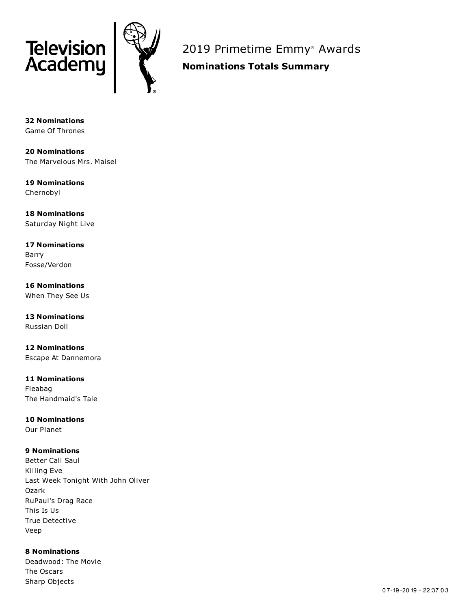

2019 Primetime Emmy ® Awards

**Nominations Totals Summary**

**32 Nominations** Game Of Thrones

**20 Nominations** The Marvelous Mrs. Maisel

**19 Nominations** Chernobyl

**18 Nominations** Saturday Night Live

**17 Nominations** Barry Fosse/Verdon

**16 Nominations** When They See Us

**13 Nominations** Russian Doll

**12 Nominations** Escape At Dannemora

**11 Nominations** Fleabag The Handmaid's Tale

**10 Nominations**

Our Planet

# **9 Nominations**

Better Call Saul Killing Eve Last Week Tonight With John Oliver Ozark RuPaul's Drag Race This Is Us True Detective Veep

**8 Nominations** Deadwood: The Movie The Oscars Sharp Objects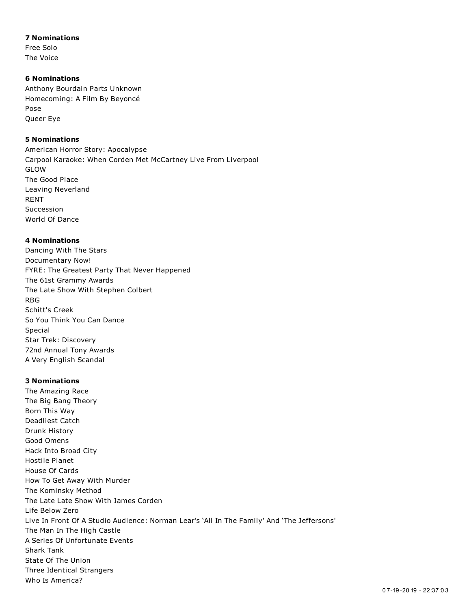## **7 Nominations**

Free Solo The Voice

### **6 Nominations**

Anthony Bourdain Parts Unknown Homecoming: A Film By Beyoncé Pose Queer Eye

# **5 Nominations**

American Horror Story: Apocalypse Carpool Karaoke: When Corden Met McCartney Live From Liverpool GLOW The Good Place Leaving Neverland RENT Succession World Of Dance

## **4 Nominations**

Dancing With The Stars Documentary Now! FYRE: The Greatest Party That Never Happened The 61st Grammy Awards The Late Show With Stephen Colbert RBG Schitt's Creek So You Think You Can Dance Special Star Trek: Discovery 72nd Annual Tony Awards A Very English Scandal

# **3 Nominations**

The Amazing Race The Big Bang Theory Born This Way Deadliest Catch Drunk History Good Omens Hack Into Broad City Hostile Planet House Of Cards How To Get Away With Murder The Kominsky Method The Late Late Show With James Corden Life Below Zero Live In Front Of A Studio Audience: Norman Lear's 'All In The Family' And 'The Jeffersons' The Man In The High Castle A Series Of Unfortunate Events Shark Tank State Of The Union Three Identical Strangers Who Is America?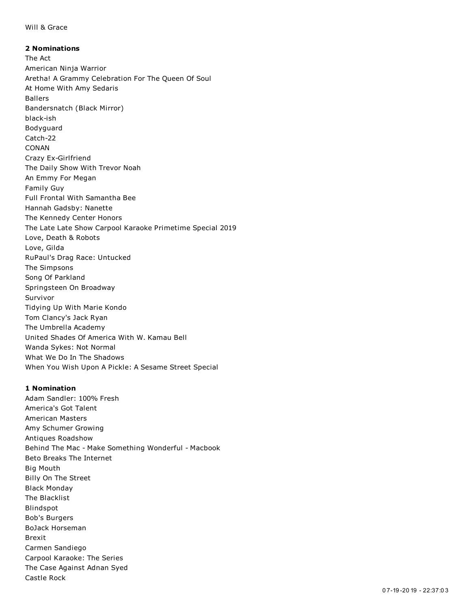### Will & Grace

**2 Nominations** The Act American Ninja Warrior Aretha! A Grammy Celebration For The Queen Of Soul At Home With Amy Sedaris Ballers Bandersnatch (Black Mirror) black-ish Bodyguard Catch-22 CONAN Crazy Ex-Girlfriend The Daily Show With Trevor Noah An Emmy For Megan Family Guy Full Frontal With Samantha Bee Hannah Gadsby: Nanette The Kennedy Center Honors The Late Late Show Carpool Karaoke Primetime Special 2019 Love, Death & Robots Love, Gilda RuPaul's Drag Race: Untucked The Simpsons Song Of Parkland Springsteen On Broadway Survivor Tidying Up With Marie Kondo Tom Clancy's Jack Ryan The Umbrella Academy United Shades Of America With W. Kamau Bell Wanda Sykes: Not Normal What We Do In The Shadows When You Wish Upon A Pickle: A Sesame Street Special

#### **1 Nomination**

Adam Sandler: 100% Fresh America's Got Talent American Masters Amy Schumer Growing Antiques Roadshow Behind The Mac - Make Something Wonderful - Macbook Beto Breaks The Internet Big Mouth Billy On The Street Black Monday The Blacklist Blindspot Bob's Burgers BoJack Horseman Brexit Carmen Sandiego Carpool Karaoke: The Series The Case Against Adnan Syed Castle Rock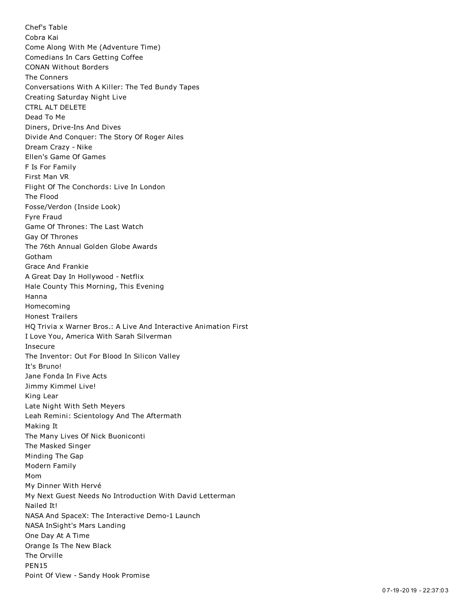Chef's Table Cobra Kai Come Along With Me (Adventure Time) Comedians In Cars Getting Coffee CONAN Without Borders The Conners Conversations With A Killer: The Ted Bundy Tapes Creating Saturday Night Live CTRL ALT DELETE Dead To Me Diners, Drive-Ins And Dives Divide And Conquer: The Story Of Roger Ailes Dream Crazy - Nike Ellen's Game Of Games F Is For Family First Man VR Flight Of The Conchords: Live In London The Flood Fosse/Verdon (Inside Look) Fyre Fraud Game Of Thrones: The Last Watch Gay Of Thrones The 76th Annual Golden Globe Awards Gotham Grace And Frankie A Great Day In Hollywood - Netflix Hale County This Morning, This Evening Hanna Homecoming Honest Trailers HQ Trivia x Warner Bros.: A Live And Interactive Animation First I Love You, America With Sarah Silverman Insecure The Inventor: Out For Blood In Silicon Valley It's Bruno! Jane Fonda In Five Acts Jimmy Kimmel Live! King Lear Late Night With Seth Meyers Leah Remini: Scientology And The Aftermath Making It The Many Lives Of Nick Buoniconti The Masked Singer Minding The Gap Modern Family Mom My Dinner With Hervé My Next Guest Needs No Introduction With David Letterman Nailed It! NASA And SpaceX: The Interactive Demo-1 Launch NASA InSight's Mars Landing One Day At A Time Orange Is The New Black The Orville PEN15 Point Of View - Sandy Hook Promise